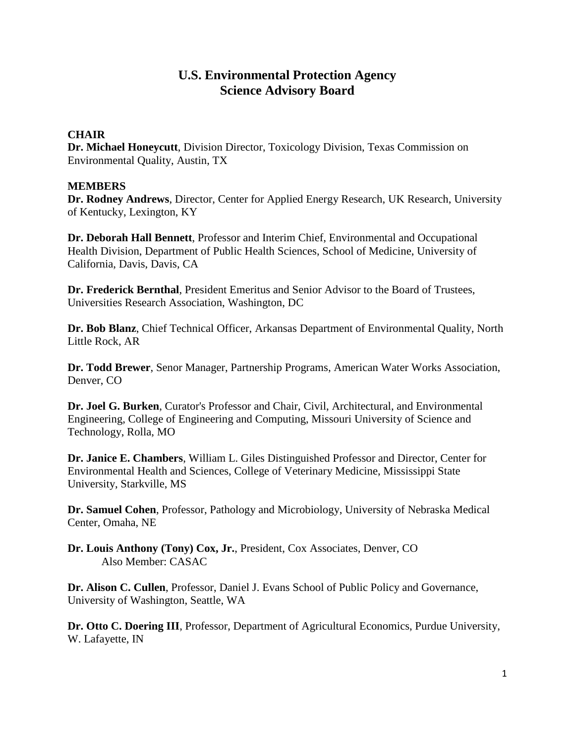# **U.S. Environmental Protection Agency Science Advisory Board**

#### **CHAIR**

**Dr. Michael Honeycutt**, Division Director, Toxicology Division, Texas Commission on Environmental Quality, Austin, TX

#### **MEMBERS**

**Dr. Rodney Andrews**, Director, Center for Applied Energy Research, UK Research, University of Kentucky, Lexington, KY

**Dr. Deborah Hall Bennett**, Professor and Interim Chief, Environmental and Occupational Health Division, Department of Public Health Sciences, School of Medicine, University of California, Davis, Davis, CA

**Dr. Frederick Bernthal**, President Emeritus and Senior Advisor to the Board of Trustees, Universities Research Association, Washington, DC

**Dr. Bob Blanz**, Chief Technical Officer, Arkansas Department of Environmental Quality, North Little Rock, AR

**Dr. Todd Brewer**, Senor Manager, Partnership Programs, American Water Works Association, Denver, CO

**Dr. Joel G. Burken**, Curator's Professor and Chair, Civil, Architectural, and Environmental Engineering, College of Engineering and Computing, Missouri University of Science and Technology, Rolla, MO

**Dr. Janice E. Chambers**, William L. Giles Distinguished Professor and Director, Center for Environmental Health and Sciences, College of Veterinary Medicine, Mississippi State University, Starkville, MS

**Dr. Samuel Cohen**, Professor, Pathology and Microbiology, University of Nebraska Medical Center, Omaha, NE

**Dr. Louis Anthony (Tony) Cox, Jr.**, President, Cox Associates, Denver, CO Also Member: CASAC

**Dr. Alison C. Cullen**, Professor, Daniel J. Evans School of Public Policy and Governance, University of Washington, Seattle, WA

**Dr. Otto C. Doering III**, Professor, Department of Agricultural Economics, Purdue University, W. Lafayette, IN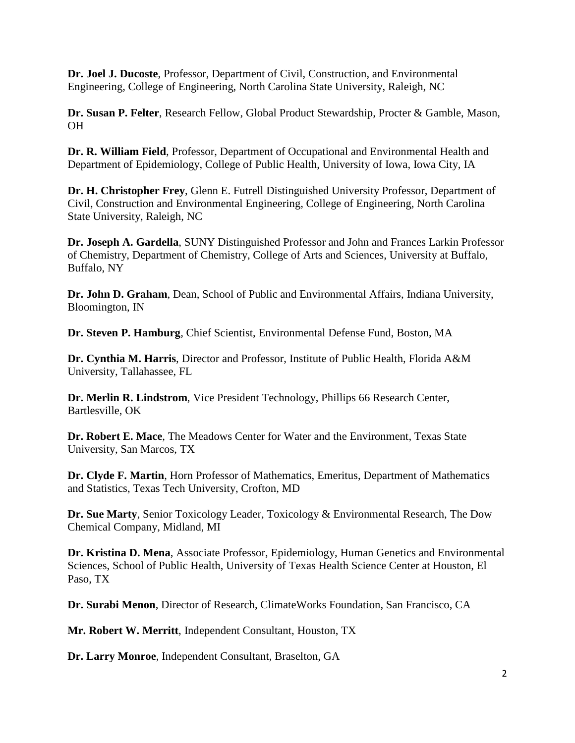**Dr. Joel J. Ducoste**, Professor, Department of Civil, Construction, and Environmental Engineering, College of Engineering, North Carolina State University, Raleigh, NC

**Dr. Susan P. Felter**, Research Fellow, Global Product Stewardship, Procter & Gamble, Mason, OH

**Dr. R. William Field**, Professor, Department of Occupational and Environmental Health and Department of Epidemiology, College of Public Health, University of Iowa, Iowa City, IA

**Dr. H. Christopher Frey**, Glenn E. Futrell Distinguished University Professor, Department of Civil, Construction and Environmental Engineering, College of Engineering, North Carolina State University, Raleigh, NC

**Dr. Joseph A. Gardella**, SUNY Distinguished Professor and John and Frances Larkin Professor of Chemistry, Department of Chemistry, College of Arts and Sciences, University at Buffalo, Buffalo, NY

**Dr. John D. Graham**, Dean, School of Public and Environmental Affairs, Indiana University, Bloomington, IN

**Dr. Steven P. Hamburg**, Chief Scientist, Environmental Defense Fund, Boston, MA

**Dr. Cynthia M. Harris**, Director and Professor, Institute of Public Health, Florida A&M University, Tallahassee, FL

**Dr. Merlin R. Lindstrom**, Vice President Technology, Phillips 66 Research Center, Bartlesville, OK

**Dr. Robert E. Mace**, The Meadows Center for Water and the Environment, Texas State University, San Marcos, TX

**Dr. Clyde F. Martin**, Horn Professor of Mathematics, Emeritus, Department of Mathematics and Statistics, Texas Tech University, Crofton, MD

**Dr. Sue Marty**, Senior Toxicology Leader, Toxicology & Environmental Research, The Dow Chemical Company, Midland, MI

**Dr. Kristina D. Mena**, Associate Professor, Epidemiology, Human Genetics and Environmental Sciences, School of Public Health, University of Texas Health Science Center at Houston, El Paso, TX

**Dr. Surabi Menon**, Director of Research, ClimateWorks Foundation, San Francisco, CA

**Mr. Robert W. Merritt**, Independent Consultant, Houston, TX

**Dr. Larry Monroe**, Independent Consultant, Braselton, GA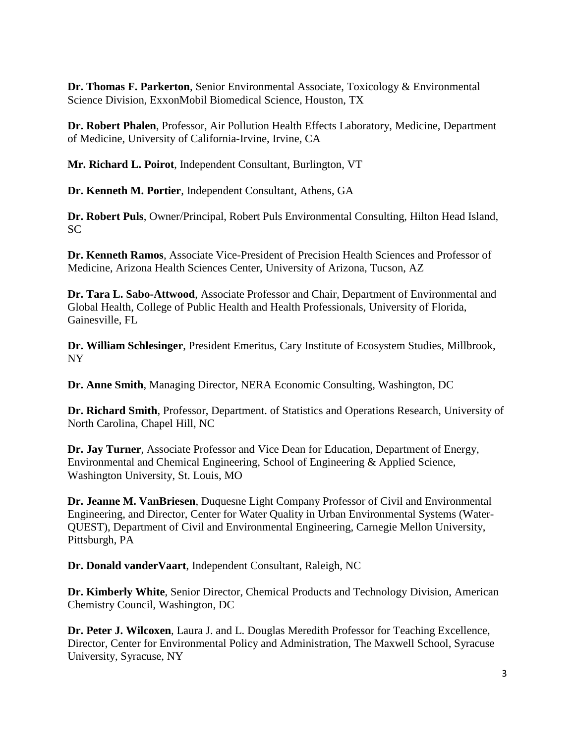**Dr. Thomas F. Parkerton**, Senior Environmental Associate, Toxicology & Environmental Science Division, ExxonMobil Biomedical Science, Houston, TX

**Dr. Robert Phalen**, Professor, Air Pollution Health Effects Laboratory, Medicine, Department of Medicine, University of California-Irvine, Irvine, CA

**Mr. Richard L. Poirot**, Independent Consultant, Burlington, VT

**Dr. Kenneth M. Portier**, Independent Consultant, Athens, GA

**Dr. Robert Puls**, Owner/Principal, Robert Puls Environmental Consulting, Hilton Head Island, SC

**Dr. Kenneth Ramos**, Associate Vice-President of Precision Health Sciences and Professor of Medicine, Arizona Health Sciences Center, University of Arizona, Tucson, AZ

**Dr. Tara L. Sabo-Attwood**, Associate Professor and Chair, Department of Environmental and Global Health, College of Public Health and Health Professionals, University of Florida, Gainesville, FL

**Dr. William Schlesinger**, President Emeritus, Cary Institute of Ecosystem Studies, Millbrook, NY

**Dr. Anne Smith**, Managing Director, NERA Economic Consulting, Washington, DC

**Dr. Richard Smith**, Professor, Department. of Statistics and Operations Research, University of North Carolina, Chapel Hill, NC

**Dr. Jay Turner**, Associate Professor and Vice Dean for Education, Department of Energy, Environmental and Chemical Engineering, School of Engineering & Applied Science, Washington University, St. Louis, MO

**Dr. Jeanne M. VanBriesen**, Duquesne Light Company Professor of Civil and Environmental Engineering, and Director, Center for Water Quality in Urban Environmental Systems (Water-QUEST), Department of Civil and Environmental Engineering, Carnegie Mellon University, Pittsburgh, PA

**Dr. Donald vanderVaart**, Independent Consultant, Raleigh, NC

**Dr. Kimberly White**, Senior Director, Chemical Products and Technology Division, American Chemistry Council, Washington, DC

**Dr. Peter J. Wilcoxen**, Laura J. and L. Douglas Meredith Professor for Teaching Excellence, Director, Center for Environmental Policy and Administration, The Maxwell School, Syracuse University, Syracuse, NY